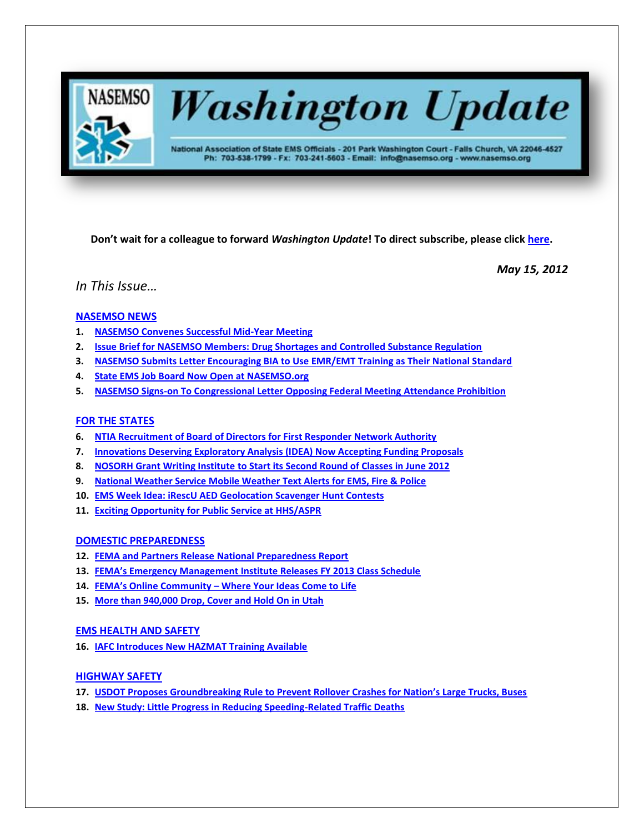

# **Washington Update**

National Association of State EMS Officials - 201 Park Washington Court - Falls Church, VA 22046-4527 Ph: 703-538-1799 - Fx: 703-241-5603 - Email: info@nasemso.org - www.nasemso.org

**Don't wait for a colleague to forward** *Washington Update***! To direct subscribe, please click [here.](http://lists.nasemso.org/read/all_forums/subscribe?name=wu%20)**

*May 15, 2012*

# *In This Issue…*

# **[NASEMSO NEWS](#page-1-0)**

- **1. [NASEMSO Convenes Successful Mid-Year Meeting](#page-1-1)**
- **2. [Issue Brief for NASEMSO Members: Drug Shortages and Controlled Substance Regulation](#page-2-0)**
- **3. [NASEMSO Submits Letter Encouraging BIA to Use EMR/EMT Training as Their National Standard](#page-2-1)**
- **4. [State EMS Job Board Now Open at NASEMSO.org](#page-2-2)**
- **5. [NASEMSO Signs-on To Congressional Letter Opposing Federal Meeting Attendance Prohibition](#page-2-3)**

# **[FOR THE STATES](#page-2-4)**

- **6. [NTIA Recruitment of Board of Directors for First Responder Network Authority](#page-2-5)**
- **7. [Innovations Deserving Exploratory Analysis \(IDEA\) Now Accepting Funding Proposals](#page-2-6)**
- **8. NOSORH Grant Writing Institute [to Start its Second Round of Classes in June 2012](#page-3-0)**
- **9. [National Weather Service Mobile Weather Text Alerts for EMS, Fire & Police](#page-3-1)**
- **10. [EMS Week Idea: iRescU AED Geolocation Scavenger Hunt Contests](#page-3-2)**
- **11. [Exciting Opportunity for Public Service at HHS/ASPR](#page-3-3)**

# **[DOMESTIC PREPAREDNESS](#page-3-4)**

- **12. [FEMA and Partners Release National Preparedness Report](#page-3-5)**
- **13. [FEMA's Emergency Management Institute Releases FY 2013 Class Schedule](#page-4-0)**
- **14. FEMA's Online Community – [Where Your Ideas Come to Life](#page-4-1)**
- **15. [More than 940,000 Drop, Cover and Hold On in Utah](#page-4-2)**

# **[EMS HEALTH AND SAFETY](#page-4-3)**

**16. [IAFC Introduces New HAZMAT Training Available](#page-4-4)**

# **[HIGHWAY SAFETY](#page-5-0)**

- **17. USDOT [Proposes Groundbreaking Rule to Prevent Rollover Crashes for Nation's Large Trucks, Buses](#page-5-1)**
- **18. [New Study: Little Progress in Reducing Speeding-Related Traffic Deaths](#page-5-2)**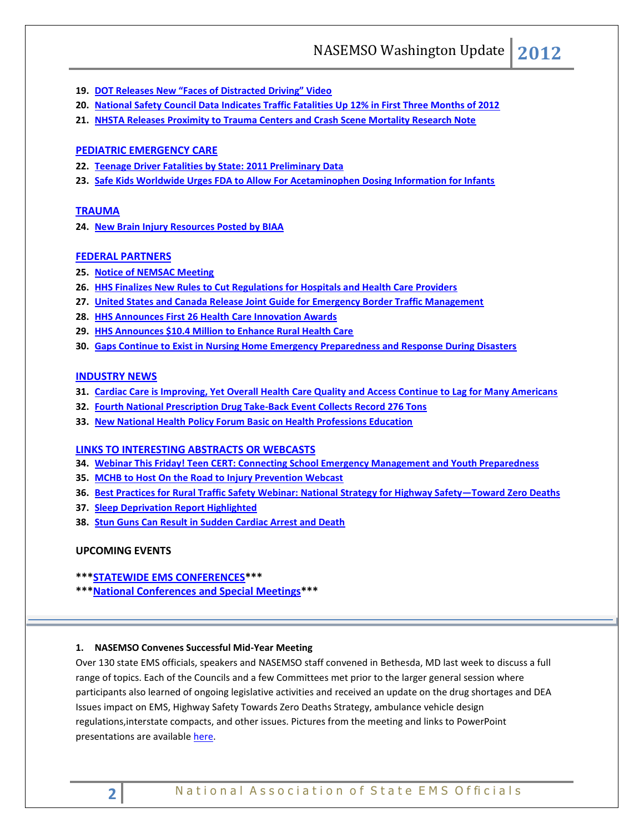- **19. DOT [Releases New "Faces of Distracted Driving" Video](#page-5-3)**
- **20. [National Safety Council Data Indicates Traffic Fatalities Up 12% in First Three Months of 2012](#page-6-0)**
- **21. [NHSTA Releases Proximity to Trauma Centers and Crash Scene Mortality Research Note](#page-6-1)**

# **[PEDIATRIC EMERGENCY CARE](#page-6-2)**

- **22. [Teenage Driver Fatalities by State:](#page-6-3) 2011 Preliminary Data**
- **23. [Safe Kids Worldwide Urges FDA to Allow For Acetaminophen Dosing Information for Infants](#page-6-4)**

## **[TRAUMA](#page-6-5)**

**24. [New Brain Injury Resources Posted by BIAA](#page-6-6)**

## **[FEDERAL PARTNERS](#page-7-0)**

- **25. [Notice of NEMSAC Meeting](#page-7-0)**
- **26. [HHS Finalizes New Rules to Cut Regulations for Hospitals and Health Care Providers](#page-7-1)**
- **27. [United States and Canada Release Joint Guide for Emergency Border Traffic Management](#page-7-2)**
- **28. [HHS Announces First 26 Health Care Innovation Awards](#page-8-0)**
- **29. [HHS Announces \\$10.4 Million to Enhance Rural Health Care](#page-8-1)**
- **30. [Gaps Continue to Exist in Nursing Home Emergency Preparedness and Response During Disasters](#page-8-2)**

## **[INDUSTRY NEWS](#page-8-3)**

- **31. [Cardiac Care is Improving, Yet Overall Health Care Quality and Access Continue to Lag for Many Americans](#page-8-4)**
- **32. [Fourth National Prescription Drug Take-Back Event Collects Record 276 Tons](#page-8-5)**
- **33. [New National Health Policy Forum Basic on Health Professions Education](#page-9-0)**

# **[LINKS TO INTERESTING ABSTRACTS OR WEBCASTS](#page-9-1)**

- **34. [Webinar This Friday! Teen CERT: Connecting School Emergency Management and Youth Preparedness](#page-9-2)**
- **35. [MCHB to Host On the Road to Injury Prevention Webcast](#page-9-3)**
- **36. [Best Practices for Rural Traffic Safety Webinar: National Strategy for Highway Safety](#page-9-4)—Toward Zero Deaths**
- **37. [Sleep Deprivation Report Highlighted](#page-9-5)**
- **38. [Stun Guns Can Result in Sudden Cardiac Arrest and Death](#page-10-0)**

# **UPCOMING EVENTS**

- **\*\*[\\*STATEWIDE EMS CONFERENCES\\*](#page-10-1)\*\***
- **\*\*[\\*National Conferences and Special Meetings\\*](#page-10-2)\*\***

## <span id="page-1-1"></span><span id="page-1-0"></span>**1. NASEMSO Convenes Successful Mid-Year Meeting**

Over 130 state EMS officials, speakers and NASEMSO staff convened in Bethesda, MD last week to discuss a full range of topics. Each of the Councils and a few Committees met prior to the larger general session where participants also learned of ongoing legislative activities and received an update on the drug shortages and DEA Issues impact on EMS, Highway Safety Towards Zero Deaths Strategy, ambulance vehicle design regulations,interstate compacts, and other issues. Pictures from the meeting and links to PowerPoint presentations are available [here.](http://www.nasemso.org/Meetings/MidYear/index.asp#Presentations)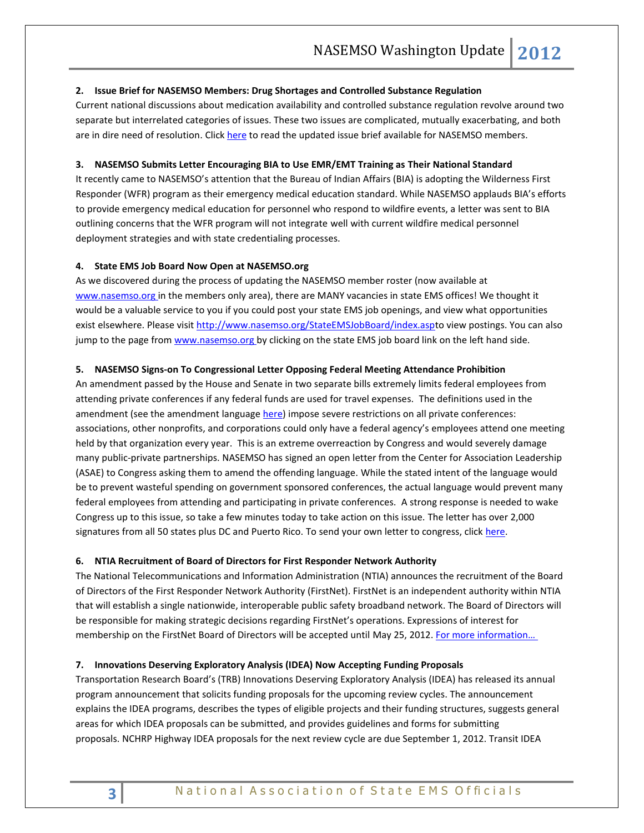## <span id="page-2-0"></span>**2. Issue Brief for NASEMSO Members: Drug Shortages and Controlled Substance Regulation**

Current national discussions about medication availability and controlled substance regulation revolve around two separate but interrelated categories of issues. These two issues are complicated, mutually exacerbating, and both are in dire need of resolution. Click [here](https://www.nasemso.org/Members/IssueBrief-DrugShortages.asp) to read the updated issue brief available for NASEMSO members.

## <span id="page-2-1"></span>**3. NASEMSO Submits Letter Encouraging BIA to Use EMR/EMT Training as Their National Standard**

It recently came to NASEMSO's attention that the Bureau of Indian Affairs (BIA) is adopting the Wilderness First Responder (WFR) program as their emergency medical education standard. While NASEMSO applauds BIA's efforts to provide emergency medical education for personnel who respond to wildfire events, a letter was sent to BIA outlining concerns that the WFR program will not integrate well with current wildfire medical personnel deployment strategies and with state credentialing processes.

## <span id="page-2-2"></span>**4. State EMS Job Board Now Open at NASEMSO.org**

As we discovered during the process of updating the NASEMSO member roster (now available at [www.nasemso.org](http://www.nasemso.org/) in the members only area), there are MANY vacancies in state EMS offices! We thought it would be a valuable service to you if you could post your state EMS job openings, and view what opportunities exist elsewhere. Please visit [http://www.nasemso.org/StateEMSJobBoard/index.aspt](http://www.nasemso.org/StateEMSJobBoard/index.asp)o view postings. You can also jump to the page from [www.nasemso.org](http://www.nasemso.org/) by clicking on the state EMS job board link on the left hand side.

## <span id="page-2-3"></span>**5. NASEMSO Signs-on To Congressional Letter Opposing Federal Meeting Attendance Prohibition**

An amendment passed by the House and Senate in two separate bills extremely limits federal employees from attending private conferences if any federal funds are used for travel expenses. The definitions used in the amendment (see the amendment language [here\)](http://asae.cms-plus.com/files/FileDownloads/PublicPolicy/GSA%20Travel%20Amendments.pdf) impose severe restrictions on all private conferences: associations, other nonprofits, and corporations could only have a federal agency's employees attend one meeting held by that organization every year. This is an extreme overreaction by Congress and would severely damage many public-private partnerships. NASEMSO has signed an open letter from the Center for Association Leadership (ASAE) to Congress asking them to amend the offending language. While the stated intent of the language would be to prevent wasteful spending on government sponsored conferences, the actual language would prevent many federal employees from attending and participating in private conferences. A strong response is needed to wake Congress up to this issue, so take a few minutes today to take action on this issue. The letter has over 2,000 signatures from all 50 states plus DC and Puerto Rico. To send your own letter to congress, clic[k here.](http://capwiz.com/asae/issues/alert/?alertid=61304821)

## <span id="page-2-5"></span><span id="page-2-4"></span>**6. NTIA Recruitment of Board of Directors for First Responder Network Authority**

The National Telecommunications and Information Administration (NTIA) announces the recruitment of the Board of Directors of the First Responder Network Authority (FirstNet). FirstNet is an independent authority within NTIA that will establish a single nationwide, interoperable public safety broadband network. The Board of Directors will be responsible for making strategic decisions regarding FirstNet's operations. Expressions of interest for membership on the FirstNet Board of Directors will be accepted until May 25, 2012. For more information...

## <span id="page-2-6"></span>**7. Innovations Deserving Exploratory Analysis (IDEA) Now Accepting Funding Proposals**

Transportation Research Board's (TRB) Innovations Deserving Exploratory Analysis (IDEA) has released its annual program announcement that solicits funding proposals for the upcoming review cycles. The announcement explains the IDEA programs, describes the types of eligible projects and their funding structures, suggests general areas for which IDEA proposals can be submitted, and provides guidelines and forms for submitting proposals. NCHRP Highway IDEA proposals for the next review cycle are due September 1, 2012. Transit IDEA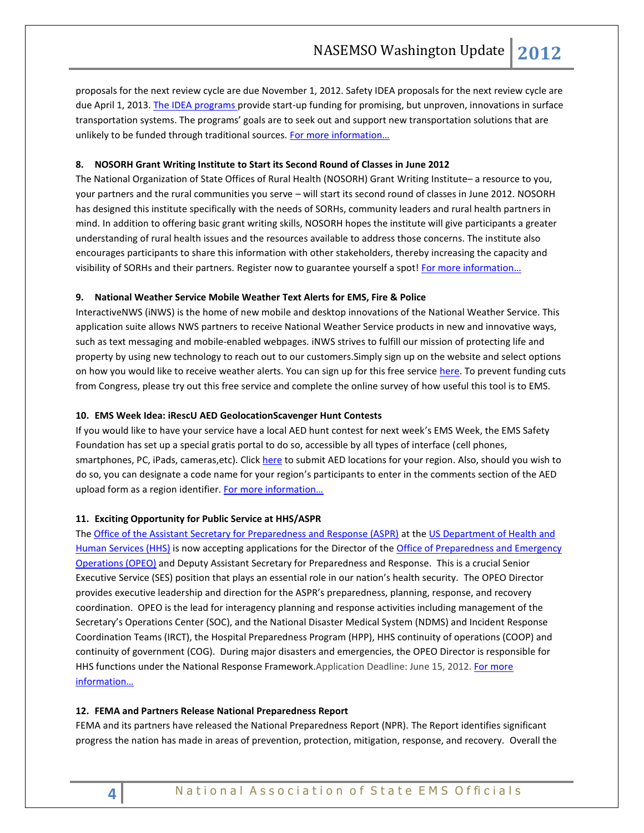proposals for the next review cycle are due November 1, 2012. Safety IDEA proposals for the next review cycle are due April 1, 2013. [The IDEA programs](http://www.trb.org/IDEAProgram/IDEAProgram.aspx) provide start-up funding for promising, but unproven, innovations in surface transportation systems. The programs' goals are to seek out and support new transportation solutions that are unlikely to be funded through traditional sources. For more information...

## <span id="page-3-0"></span>**8. NOSORH Grant Writing Institute to Start its Second Round of Classes in June 2012**

The National Organization of State Offices of Rural Health (NOSORH) Grant Writing Institute– a resource to you, your partners and the rural communities you serve – will start its second round of classes in June 2012. NOSORH has designed this institute specifically with the needs of SORHs, community leaders and rural health partners in mind. In addition to offering basic grant writing skills, NOSORH hopes the institute will give participants a greater understanding of rural health issues and the resources available to address those concerns. The institute also encourages participants to share this information with other stakeholders, thereby increasing the capacity and visibility of SORHs and their partners. Register now to guarantee yourself a spot! [For more informati](http://www.nosorh.org/pdf/gwi_brochure_2012.pdf)on...

## <span id="page-3-1"></span>**9. National Weather Service Mobile Weather Text Alerts for EMS, Fire & Police**

InteractiveNWS (iNWS) is the home of new mobile and desktop innovations of the National Weather Service. This application suite allows NWS partners to receive National Weather Service products in new and innovative ways, such as text messaging and mobile-enabled webpages. iNWS strives to fulfill our mission of protecting life and property by using new technology to reach out to our customers.Simply sign up on the website and select options on how you would like to receive weather alerts. You can sign up for this free service [here.](http://inws.wrh.noaa.gov/) To prevent funding cuts from Congress, please try out this free service and complete the online survey of how useful this tool is to EMS.

### <span id="page-3-2"></span>**10. EMS Week Idea: iRescU AED GeolocationScavenger Hunt Contests**

If you would like to have your service have a local AED hunt contest for next week's EMS Week, the EMS Safety Foundation has set up a special gratis portal to do so, accessible by all types of interface (cell phones, smartphones, PC, iPads, cameras,etc). Clic[k here](http://www.irescu.info/AEDcard.html) to submit AED locations for your region. Also, should you wish to do so, you can designate a code name for your region's participants to enter in the comments section of the AED upload form as a region identifier. For more information...

## <span id="page-3-3"></span>**11. Exciting Opportunity for Public Service at HHS/ASPR**

Th[e Office of the Assistant Secretary for Preparedness and Response \(ASPR\)](http://www.phe.gov/) at the [US Department of Health and](http://www.hhs.gov/)  [Human Services \(HHS\)](http://www.hhs.gov/) is now accepting applications for the Director of the Office of Preparedness and Emergency [Operations \(OPEO\)](http://www.phe.gov/about/opeo/Pages/default.aspx) and Deputy Assistant Secretary for Preparedness and Response. This is a crucial Senior Executive Service (SES) position that plays an essential role in our nation's health security. The OPEO Director provides executive leadership and direction for the ASPR's preparedness, planning, response, and recovery coordination. OPEO is the lead for interagency planning and response activities including management of the Secretary's Operations Center (SOC), and the National Disaster Medical System (NDMS) and Incident Response Coordination Teams (IRCT), the Hospital Preparedness Program (HPP), HHS continuity of operations (COOP) and continuity of government (COG). During major disasters and emergencies, the OPEO Director is responsible for HHS functions under the National Response Framework.Application Deadline: June 15, 2012. [For more](http://www.nasemso.org/documents/OPEODirectorAnnouncementv1.1.pdf)  [information…](http://www.nasemso.org/documents/OPEODirectorAnnouncementv1.1.pdf)

#### <span id="page-3-5"></span><span id="page-3-4"></span>**12. FEMA and Partners Release National Preparedness Report**

FEMA and its partners have released the National Preparedness Report (NPR). The Report identifies significant progress the nation has made in areas of prevention, protection, mitigation, response, and recovery. Overall the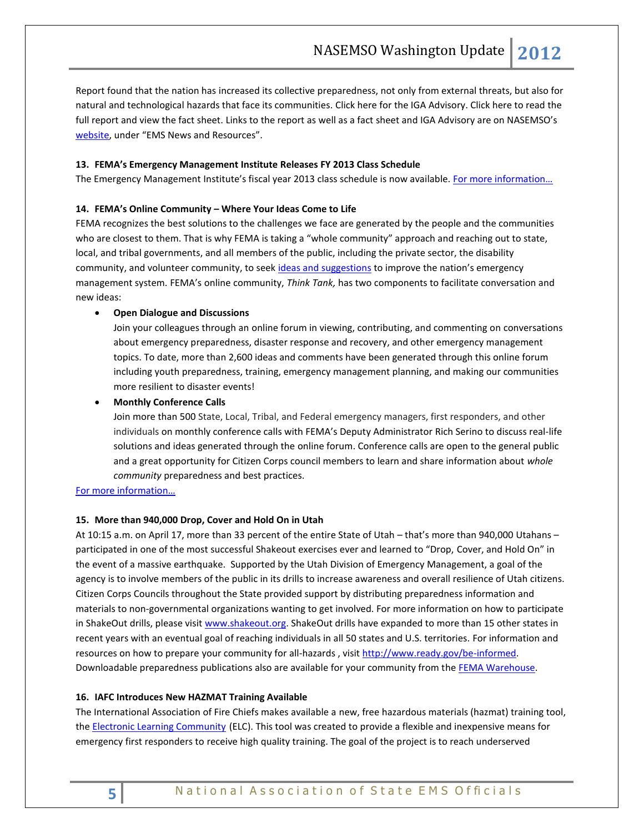Report found that the nation has increased its collective preparedness, not only from external threats, but also for natural and technological hazards that face its communities. Click here for the IGA Advisory. Click here to read the full report and view the fact sheet. Links to the report as well as a fact sheet and IGA Advisory are on NASEMSO's [website](http://www.nasemso.org/), under "EMS News and Resources".

## <span id="page-4-0"></span>**13. FEMA's Emergency Management Institute Releases FY 2013 Class Schedule**

The Emergency Management Institute's fiscal year 2013 class schedule is now available. For more information...

#### <span id="page-4-1"></span>**14. FEMA's Online Community – Where Your Ideas Come to Life**

FEMA recognizes the best solutions to the challenges we face are generated by the people and the communities who are closest to them. That is why FEMA is taking a "whole community" approach and reaching out to state, local, and tribal governments, and all members of the public, including the private sector, the disability community, and volunteer community, to seek [ideas and suggestions](http://links.govdelivery.com/track?type=click&enid=ZWFzPTEmbWFpbGluZ2lkPTIwMTIwNTA0LjczMzAwNjEmbWVzc2FnZWlkPU1EQi1QUkQtQlVMLTIwMTIwNTA0LjczMzAwNjEmZGF0YWJhc2VpZD0xMDAxJnNlcmlhbD0xNjg3MjEwNCZlbWFpbGlkPWFsdGVyQG5hc2Vtc28ub3JnJnVzZXJpZD1hbHRlckBuYXNlbXNvLm9yZyZmbD0mZXh0cmE9TXVsdGl2YXJpYXRlSWQ9JiYm&&&108&&&http://bit.ly/w5Wedx) to improve the nation's emergency management system. FEMA's online community, *Think Tank,* has two components to facilitate conversation and new ideas:

#### **Open Dialogue and Discussions**

Join your colleagues through an online forum in viewing, contributing, and commenting on conversations about emergency preparedness, disaster response and recovery, and other emergency management topics. To date, more than 2,600 ideas and comments have been generated through this online forum including youth preparedness, training, emergency management planning, and making our communities more resilient to disaster events!

## **Monthly Conference Calls**

Join more than 500 State, Local, Tribal, and Federal emergency managers, first responders, and other individuals on monthly conference calls with FEMA's Deputy Administrator Rich Serino to discuss real-life solutions and ideas generated through the online forum. Conference calls are open to the general public and a great opportunity for Citizen Corps council members to learn and share information about *whole community* preparedness and best practices.

# [For more informatio](http://fema.ideascale.com/)n…

### <span id="page-4-2"></span>**15. More than 940,000 Drop, Cover and Hold On in Utah**

At 10:15 a.m. on April 17, more than 33 percent of the entire State of Utah – that's more than 940,000 Utahans – participated in one of the most successful Shakeout exercises ever and learned to "Drop, Cover, and Hold On" in the event of a massive earthquake. Supported by the Utah Division of Emergency Management, a goal of the agency is to involve members of the public in its drills to increase awareness and overall resilience of Utah citizens. Citizen Corps Councils throughout the State provided support by distributing preparedness information and materials to non-governmental organizations wanting to get involved. For more information on how to participate in ShakeOut drills, please visit [www.shakeout.org.](http://www.shakeout.org/) ShakeOut drills have expanded to more than 15 other states in recent years with an eventual goal of reaching individuals in all 50 states and U.S. territories. For information and resources on how to prepare your community for all-hazards , visi[t http://www.ready.gov/be-informed.](http://links.govdelivery.com/track?type=click&enid=ZWFzPTEmbWFpbGluZ2lkPTIwMTIwNTA0LjczMzAwNjEmbWVzc2FnZWlkPU1EQi1QUkQtQlVMLTIwMTIwNTA0LjczMzAwNjEmZGF0YWJhc2VpZD0xMDAxJnNlcmlhbD0xNjg3MjEwNCZlbWFpbGlkPWFsdGVyQG5hc2Vtc28ub3JnJnVzZXJpZD1hbHRlckBuYXNlbXNvLm9yZyZmbD0mZXh0cmE9TXVsdGl2YXJpYXRlSWQ9JiYm&&&106&&&http://www.ready.gov/be-informed) Downloadable preparedness publications also are available for your community from the [FEMA Warehouse.](http://links.govdelivery.com/track?type=click&enid=ZWFzPTEmbWFpbGluZ2lkPTIwMTIwNTA0LjczMzAwNjEmbWVzc2FnZWlkPU1EQi1QUkQtQlVMLTIwMTIwNTA0LjczMzAwNjEmZGF0YWJhc2VpZD0xMDAxJnNlcmlhbD0xNjg3MjEwNCZlbWFpbGlkPWFsdGVyQG5hc2Vtc28ub3JnJnVzZXJpZD1hbHRlckBuYXNlbXNvLm9yZyZmbD0mZXh0cmE9TXVsdGl2YXJpYXRlSWQ9JiYm&&&107&&&http://1.usa.gov/JxItTG)

#### <span id="page-4-4"></span><span id="page-4-3"></span>**16. IAFC Introduces New HAZMAT Training Available**

The International Association of Fire Chiefs makes available a new, free hazardous materials (hazmat) training tool, the [Electronic Learning Community](http://www.responder-elc.org/) (ELC). This tool was created to provide a flexible and inexpensive means for emergency first responders to receive high quality training. The goal of the project is to reach underserved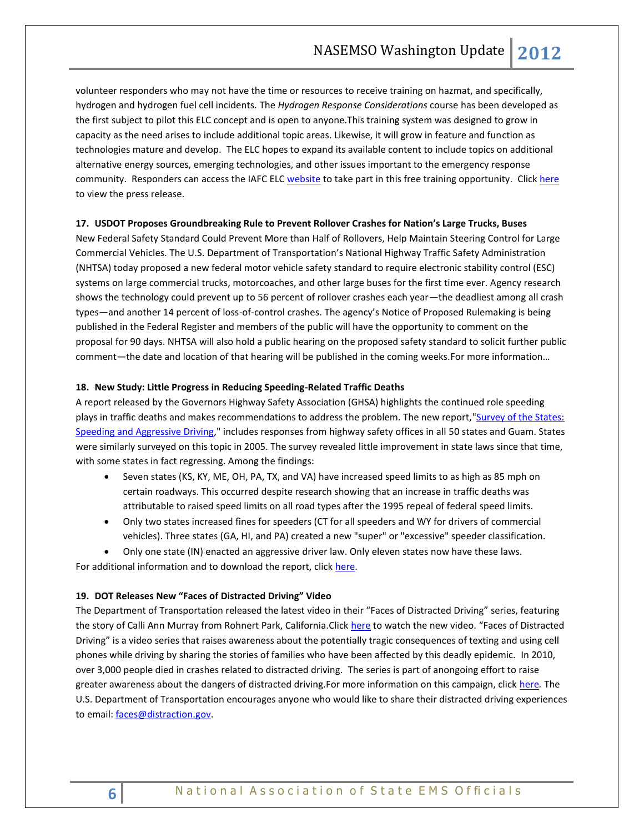volunteer responders who may not have the time or resources to receive training on hazmat, and specifically, hydrogen and hydrogen fuel cell incidents. The *Hydrogen Response Considerations* course has been developed as the first subject to pilot this ELC concept and is open to anyone.This training system was designed to grow in capacity as the need arises to include additional topic areas. Likewise, it will grow in feature and function as technologies mature and develop. The ELC hopes to expand its available content to include topics on additional alternative energy sources, emerging technologies, and other issues important to the emergency response community. Responders can access the IAFC ELC [website](http://www.responder-elc.org/) to take part in this free training opportunity. Click [here](http://www.iafc.org/Media/PressReleaseDetail.cfm?ItemNumber=5994) to view the press release.

## <span id="page-5-1"></span><span id="page-5-0"></span>**17. USDOT Proposes Groundbreaking Rule to Prevent Rollover Crashes for Nation's Large Trucks, Buses**

New Federal Safety Standard Could Prevent More than Half of Rollovers, Help Maintain Steering Control for Large Commercial Vehicles. The U.S. Department of Transportation's National Highway Traffic Safety Administration (NHTSA) today proposed a new federal motor vehicle safety standard to require electronic stability control (ESC) systems on large commercial trucks, motorcoaches, and other large buses for the first time ever. Agency research shows the technology could prevent up to 56 percent of rollover crashes each year—the deadliest among all crash types—and another 14 percent of loss-of-control crashes. The agency's Notice of Proposed Rulemaking is being published in the Federal Register and members of the public will have the opportunity to comment on the proposal for 90 days. NHTSA will also hold a public hearing on the proposed safety standard to solicit further public comment—the date and location of that hearing will be published in the coming weeks. For more information...

#### <span id="page-5-2"></span>**18. New Study: Little Progress in Reducing Speeding-Related Traffic Deaths**

A report released by the Governors Highway Safety Association (GHSA) highlights the continued role speeding plays in traffic deaths and makes recommendations to address the problem. The new report, "Survey of the States: [Speeding and Aggressive Driving,"](http://www.ghsa.org/html/publications/pdf/survey/2012_speed.pdf) includes responses from highway safety offices in all 50 states and Guam. States were similarly surveyed on this topic in 2005. The survey revealed little improvement in state laws since that time, with some states in fact regressing. Among the findings:

- Seven states (KS, KY, ME, OH, PA, TX, and VA) have increased speed limits to as high as 85 mph on certain roadways. This occurred despite research showing that an increase in traffic deaths was attributable to raised speed limits on all road types after the 1995 repeal of federal speed limits.
- Only two states increased fines for speeders (CT for all speeders and WY for drivers of commercial vehicles). Three states (GA, HI, and PA) created a new "super" or "excessive" speeder classification.
- Only one state (IN) enacted an aggressive driver law. Only eleven states now have these laws.

For additional information and to download the report, click [here.](http://www.ghsa.org/html/publications/survey/speed2012.html)

#### <span id="page-5-3"></span>**19. DOT Releases New "Faces of Distracted Driving" Video**

The Department of Transportation released the latest video in their "Faces of Distracted Driving" series, featuring the story of Calli Ann Murray from Rohnert Park, California.Click [here](http://youtu.be/VAsBc6cswl8) to watch the new video. "Faces of Distracted Driving" is a video series that raises awareness about the potentially tragic consequences of texting and using cell phones while driving by sharing the stories of families who have been affected by this deadly epidemic. In 2010, over 3,000 people died in crashes related to distracted driving. The series is part of anongoing effort to raise greater awareness about the dangers of distracted driving.For more information on this campaign, click [here](http://www.distraction.gov/content/faces/index.html)*.* The U.S. Department of Transportation encourages anyone who would like to share their distracted driving experiences to email: [faces@distraction.gov.](mailto:faces@distraction.gov)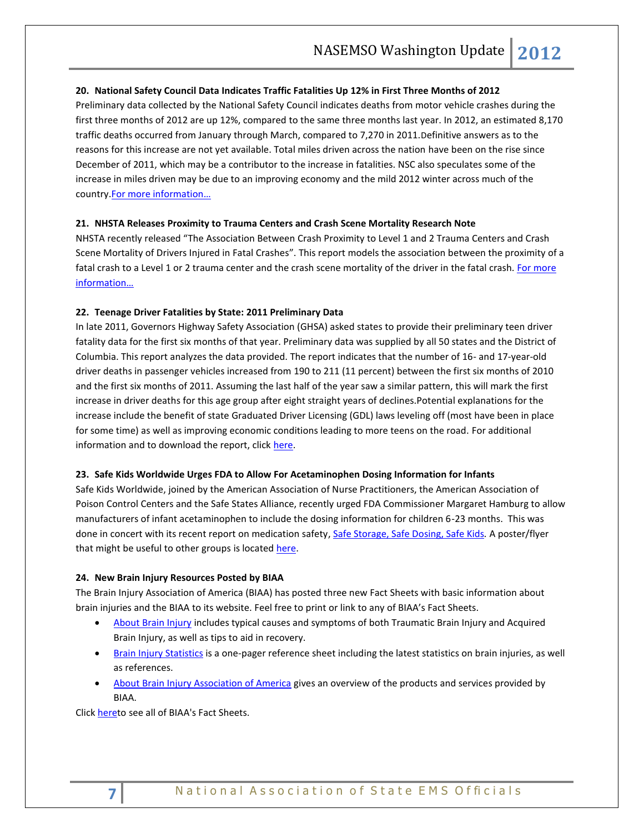## <span id="page-6-0"></span>**20. National Safety Council Data Indicates Traffic Fatalities Up 12% in First Three Months of 2012**

Preliminary data collected by the National Safety Council indicates deaths from motor vehicle crashes during the first three months of 2012 are up 12%, compared to the same three months last year. In 2012, an estimated 8,170 traffic deaths occurred from January through March, compared to 7,270 in 2011.Definitive answers as to the reasons for this increase are not yet available. Total miles driven across the nation have been on the rise since December of 2011, which may be a contributor to the increase in fatalities. NSC also speculates some of the increase in miles driven may be due to an improving economy and the mild 2012 winter across much of the country. For more information...

## <span id="page-6-1"></span>**21. NHSTA Releases Proximity to Trauma Centers and Crash Scene Mortality Research Note**

NHSTA recently released "The Association Between Crash Proximity to Level 1 and 2 Trauma Centers and Crash Scene Mortality of Drivers Injured in Fatal Crashes". This report models the association between the proximity of a fatal crash to a Level 1 or 2 trauma center and the crash scene mortality of the driver in the fatal crash[. For more](http://www-nrd.nhtsa.dot.gov/Pubs/811599.pdf)  [information…](http://www-nrd.nhtsa.dot.gov/Pubs/811599.pdf)

## <span id="page-6-3"></span><span id="page-6-2"></span>**22. Teenage Driver Fatalities by State: 2011 Preliminary Data**

In late 2011, Governors Highway Safety Association (GHSA) asked states to provide their preliminary teen driver fatality data for the first six months of that year. Preliminary data was supplied by all 50 states and the District of Columbia. This report analyzes the data provided. The report indicates that the number of 16- and 17-year-old driver deaths in passenger vehicles increased from 190 to 211 (11 percent) between the first six months of 2010 and the first six months of 2011. Assuming the last half of the year saw a similar pattern, this will mark the first increase in driver deaths for this age group after eight straight years of declines.Potential explanations for the increase include the benefit of state Graduated Driver Licensing (GDL) laws leveling off (most have been in place for some time) as well as improving economic conditions leading to more teens on the road. For additional information and to download the report, click [here.](http://www.ghsa.org/html/publications/spotlight/teens2011.html)

## <span id="page-6-4"></span>**23. Safe Kids Worldwide Urges FDA to Allow For Acetaminophen Dosing Information for Infants**

Safe Kids Worldwide, joined by the American Association of Nurse Practitioners, the American Association of Poison Control Centers and the Safe States Alliance, recently urged FDA Commissioner Margaret Hamburg to allow manufacturers of infant acetaminophen to include the dosing information for children 6-23 months. This was done in concert with its recent report on medication safety[, Safe Storage, Safe Dosing, Safe Kids](http://www.safekids.org/assets/docs/safety-basics/safety-tips-by-risk-area/medicine-safety-study-2012.pdf)*.* A poster/flyer that might be useful to other groups is located [here.](http://healthyamericans.org/assets/files/med_safety_poster.pdf)

#### <span id="page-6-6"></span><span id="page-6-5"></span>**24. New Brain Injury Resources Posted by BIAA**

The Brain Injury Association of America (BIAA) has posted three new Fact Sheets with basic information about brain injuries and the BIAA to its website. Feel free to print or link to any of BIAA's Fact Sheets.

- [About Brain Injury](http://www.biausa.org/LiteratureRetrieve.aspx?ID=104991) includes typical causes and symptoms of both Traumatic Brain Injury and Acquired Brain Injury, as well as tips to aid in recovery.
- **[Brain Injury Statistics](http://www.biausa.org/LiteratureRetrieve.aspx?ID=104992) is a one-pager reference sheet including the latest statistics on brain injuries, as well** as references.
- [About Brain Injury Association of America](http://www.biausa.org/LiteratureRetrieve.aspx?ID=104990) gives an overview of the products and services provided by BIAA.

Click [heret](http://www.biausa.org/glossary.htm)o see all of BIAA's Fact Sheets.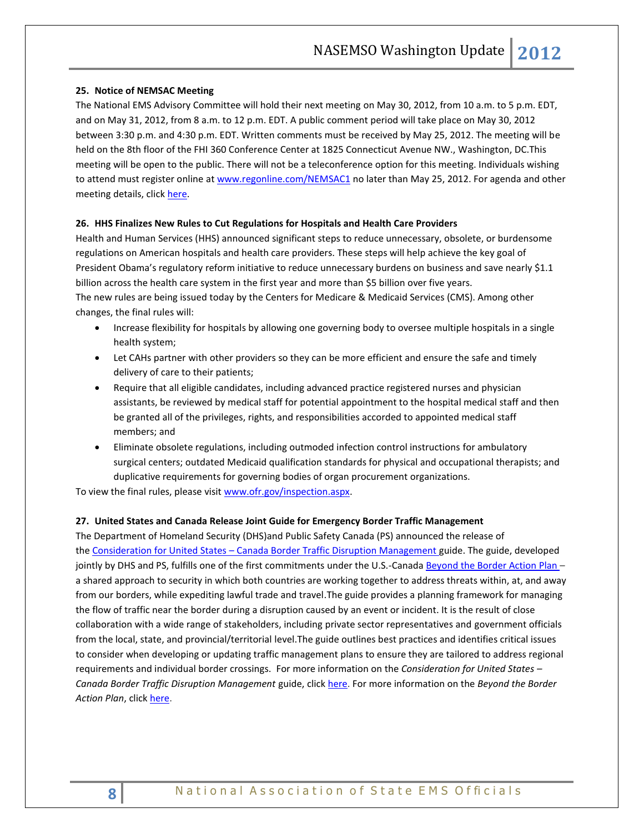## <span id="page-7-0"></span>**25. Notice of NEMSAC Meeting**

The National EMS Advisory Committee will hold their next meeting on May 30, 2012, from 10 a.m. to 5 p.m. EDT, and on May 31, 2012, from 8 a.m. to 12 p.m. EDT. A public comment period will take place on May 30, 2012 between 3:30 p.m. and 4:30 p.m. EDT. Written comments must be received by May 25, 2012. The meeting will be held on the 8th floor of the FHI 360 Conference Center at 1825 Connecticut Avenue NW., Washington, DC.This meeting will be open to the public. There will not be a teleconference option for this meeting. Individuals wishing to attend must register online a[t www.regonline.com/NEMSAC1](http://www.regonline.com/NEMSAC1) no later than May 25, 2012. For agenda and other meeting details, click [here.](http://www.ems.gov/nemsac/march2012meet.html)

# <span id="page-7-1"></span>**26. HHS Finalizes New Rules to Cut Regulations for Hospitals and Health Care Providers**

Health and Human Services (HHS) announced significant steps to reduce unnecessary, obsolete, or burdensome regulations on American hospitals and health care providers. These steps will help achieve the key goal of President Obama's regulatory reform initiative to reduce unnecessary burdens on business and save nearly \$1.1 billion across the health care system in the first year and more than \$5 billion over five years. The new rules are being issued today by the Centers for Medicare & Medicaid Services (CMS). Among other changes, the final rules will:

- Increase flexibility for hospitals by allowing one governing body to oversee multiple hospitals in a single health system;
- Let CAHs partner with other providers so they can be more efficient and ensure the safe and timely delivery of care to their patients;
- Require that all eligible candidates, including advanced practice registered nurses and physician assistants, be reviewed by medical staff for potential appointment to the hospital medical staff and then be granted all of the privileges, rights, and responsibilities accorded to appointed medical staff members; and
- Eliminate obsolete regulations, including outmoded infection control instructions for ambulatory surgical centers; outdated Medicaid qualification standards for physical and occupational therapists; and duplicative requirements for governing bodies of organ procurement organizations.

To view the final rules, please visit [www.ofr.gov/inspection.aspx.](http://www.ofr.gov/inspection.aspx)

## <span id="page-7-2"></span>**27. [United States and Canada Release Joint Guide for Emergency Border Traffic Management](http://blog.dhs.gov/2012/05/united-states-and-canada-release-joint.html)**

The Department of Homeland Security (DHS)and Public Safety Canada (PS) announced the release of the Consideration for United States – [Canada Border Traffic Disruption Management](http://www.dhs.gov/files/publications/btb-considerations-us-canada-border-traffic-disruption-management.shtm) guide. The guide, developed jointly by DHS and PS, fulfills one of the first commitments under the U.S.-Canada [Beyond the Border Action Plan](http://www.dhs.gov/files/publications/beyond-the-border-action-plan.shtm) a shared approach to security in which both countries are working together to address threats within, at, and away from our borders, while expediting lawful trade and travel.The guide provides a planning framework for managing the flow of traffic near the border during a disruption caused by an event or incident. It is the result of close collaboration with a wide range of stakeholders, including private sector representatives and government officials from the local, state, and provincial/territorial level.The guide outlines best practices and identifies critical issues to consider when developing or updating traffic management plans to ensure they are tailored to address regional requirements and individual border crossings. For more information on the *Consideration for United States – Canada Border Traffic Disruption Management* guide, click [here.](http://www.publicsafety.gc.ca/) For more information on the *Beyond the Border Action Plan*, click [here.](http://www.dhs.gov/beyond-the-border)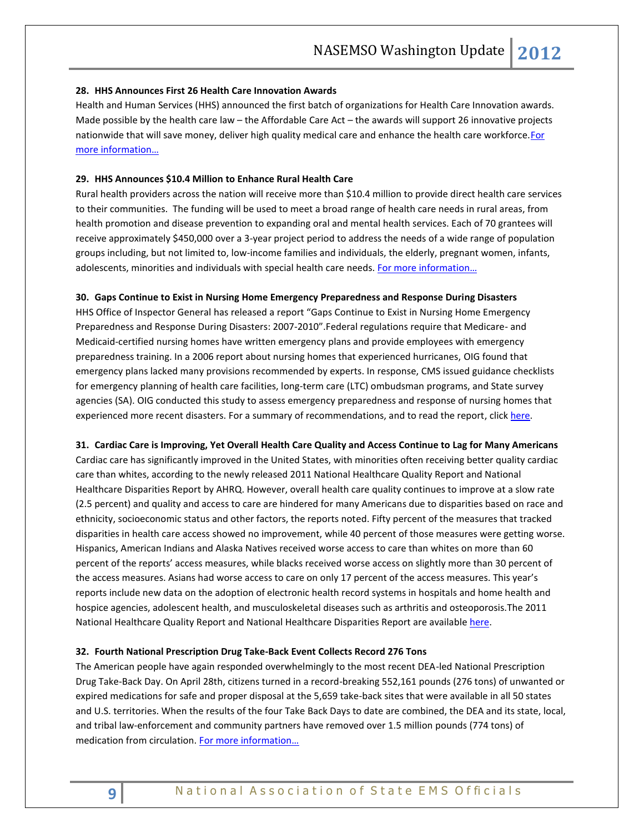#### <span id="page-8-0"></span>**28. HHS Announces First 26 Health Care Innovation Awards**

Health and Human Services (HHS) announced the first batch of organizations for Health Care Innovation awards. Made possible by the health care law – the Affordable Care Act – the awards will support 26 innovative projects nationwide that will save money, deliver high quality medical care and enhance the health care workforce. For [more information…](http://links.govdelivery.com/track?type=click&enid=ZWFzPTEmbWFpbGluZ2lkPTIwMTIwNTA4LjczOTMzMDEmbWVzc2FnZWlkPU1EQi1QUkQtQlVMLTIwMTIwNTA4LjczOTMzMDEmZGF0YWJhc2VpZD0xMDAxJnNlcmlhbD0xNjk4MTU5MSZlbWFpbGlkPXJvYmluc29uQG5hc2Vtc28ub3JnJnVzZXJpZD1yb2JpbnNvbkBuYXNlbXNvLm9yZyZmbD0mZXh0cmE9TXVsdGl2YXJpYXRlSWQ9JiYm&&&102&&&http://www.hhs.gov/news/press/2012pres/05/20120508a.html)

## <span id="page-8-1"></span>**29. HHS Announces \$10.4 Million to Enhance Rural Health Care**

Rural health providers across the nation will receive more than \$10.4 million to provide direct health care services to their communities. The funding will be used to meet a broad range of health care needs in rural areas, from health promotion and disease prevention to expanding oral and mental health services. Each of 70 grantees will receive approximately \$450,000 over a 3-year project period to address the needs of a wide range of population groups including, but not limited to, low-income families and individuals, the elderly, pregnant women, infants, adolescents, minorities and individuals with special health care needs. [For more information…](http://www.hrsa.gov/about/news/pressreleases/120502rural.html)

#### <span id="page-8-2"></span>**30. Gaps Continue to Exist in Nursing Home Emergency Preparedness and Response During Disasters**

HHS Office of Inspector General has released a report "Gaps Continue to Exist in Nursing Home Emergency Preparedness and Response During Disasters: 2007-2010".Federal regulations require that Medicare- and Medicaid-certified nursing homes have written emergency plans and provide employees with emergency preparedness training. In a 2006 report about nursing homes that experienced hurricanes, OIG found that emergency plans lacked many provisions recommended by experts. In response, CMS issued guidance checklists for emergency planning of health care facilities, long-term care (LTC) ombudsman programs, and State survey agencies (SA). OIG conducted this study to assess emergency preparedness and response of nursing homes that experienced more recent disasters. For a summary of recommendations, and to read the report, clic[k here.](http://oig.hhs.gov/oei/reports/oei-06-09-00270.asp)

#### <span id="page-8-4"></span><span id="page-8-3"></span>**31. Cardiac Care is Improving, Yet Overall Health Care Quality and Access Continue to Lag for Many Americans**

Cardiac care has significantly improved in the United States, with minorities often receiving better quality cardiac care than whites, according to the newly released 2011 National Healthcare Quality Report and National Healthcare Disparities Report by AHRQ. However, overall health care quality continues to improve at a slow rate (2.5 percent) and quality and access to care are hindered for many Americans due to disparities based on race and ethnicity, socioeconomic status and other factors, the reports noted. Fifty percent of the measures that tracked disparities in health care access showed no improvement, while 40 percent of those measures were getting worse. Hispanics, American Indians and Alaska Natives received worse access to care than whites on more than 60 percent of the reports' access measures, while blacks received worse access on slightly more than 30 percent of the access measures. Asians had worse access to care on only 17 percent of the access measures. This year's reports include new data on the adoption of electronic health record systems in hospitals and home health and hospice agencies, adolescent health, and musculoskeletal diseases such as arthritis and osteoporosis.The 2011 National Healthcare Quality Report and National Healthcare Disparities Report are availabl[e here.](http://www.ahrq.gov/qual/qrdr11.htm) 

#### <span id="page-8-5"></span>**32. Fourth National Prescription Drug Take-Back Event Collects Record 276 Tons**

The American people have again responded overwhelmingly to the most recent DEA-led National Prescription Drug Take-Back Day. On April 28th, citizens turned in a record-breaking 552,161 pounds (276 tons) of unwanted or expired medications for safe and proper disposal at the 5,659 take-back sites that were available in all 50 states and U.S. territories. When the results of the four Take Back Days to date are combined, the DEA and its state, local, and tribal law-enforcement and community partners have removed over 1.5 million pounds (774 tons) of medication from circulation. For more information...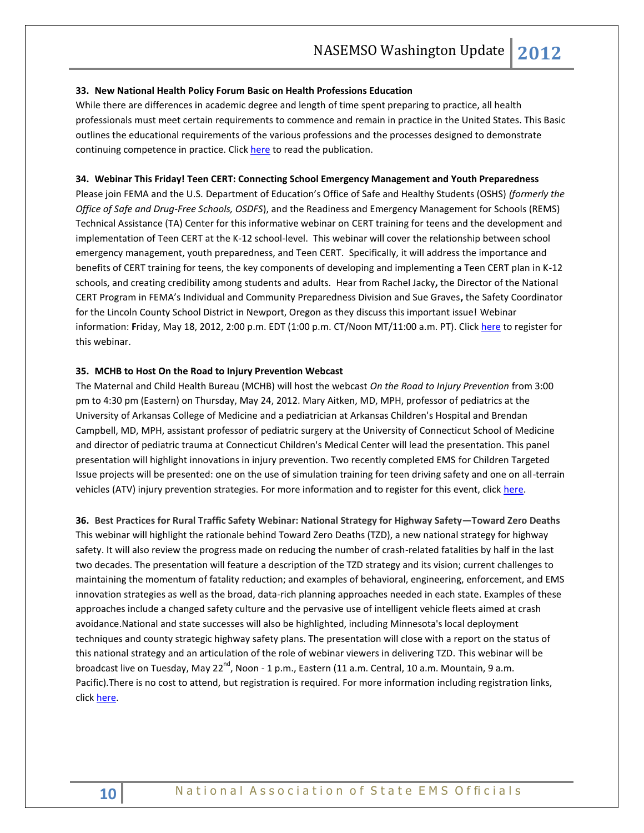#### <span id="page-9-0"></span>**33. New National Health Policy Forum Basic on Health Professions Education**

While there are differences in academic degree and length of time spent preparing to practice, all health professionals must meet certain requirements to commence and remain in practice in the United States. This Basic outlines the educational requirements of the various professions and the processes designed to demonstrate continuing competence in practice. Clic[k here](https://www.nhpf.org/uploads/announcements/Basics_HealthProfessions_04-30-12.pdf) to read the publication.

#### <span id="page-9-2"></span><span id="page-9-1"></span>**34. Webinar This Friday! Teen CERT: Connecting School Emergency Management and Youth Preparedness**

Please join FEMA and the U.S. Department of Education's Office of Safe and Healthy Students (OSHS) *(formerly the Office of Safe and Drug-Free Schools, OSDFS*), and the Readiness and Emergency Management for Schools (REMS) Technical Assistance (TA) Center for this informative webinar on CERT training for teens and the development and implementation of Teen CERT at the K-12 school-level. This webinar will cover the relationship between school emergency management, youth preparedness, and Teen CERT. Specifically, it will address the importance and benefits of CERT training for teens, the key components of developing and implementing a Teen CERT plan in K-12 schools, and creating credibility among students and adults. Hear from Rachel Jacky**,** the Director of the National CERT Program in FEMA's Individual and Community Preparedness Division and Sue Graves**,** the Safety Coordinator for the Lincoln County School District in Newport, Oregon as they discuss this important issue! Webinar information: **F**riday, May 18, 2012, 2:00 p.m. EDT (1:00 p.m. CT/Noon MT/11:00 a.m. PT). Clic[k here](http://rems.ed.gov/index.php?page=training_webinars) to register for this webinar.

### <span id="page-9-3"></span>**35. MCHB to Host On the Road to Injury Prevention Webcast**

The Maternal and Child Health Bureau (MCHB) will host the webcast *On the Road to Injury Prevention* from 3:00 pm to 4:30 pm (Eastern) on Thursday, May 24, 2012. Mary Aitken, MD, MPH, professor of pediatrics at the University of Arkansas College of Medicine and a pediatrician at Arkansas Children's Hospital and Brendan Campbell, MD, MPH, assistant professor of pediatric surgery at the University of Connecticut School of Medicine and director of pediatric trauma at Connecticut Children's Medical Center will lead the presentation. This panel presentation will highlight innovations in injury prevention. Two recently completed EMS for Children Targeted Issue projects will be presented: one on the use of simulation training for teen driving safety and one on all-terrain vehicles (ATV) injury prevention strategies. For more information and to register for this event, click [here.](http://learning.mchb.hrsa.gov/LiveWebcastDetail.asp?leid=287)

<span id="page-9-5"></span><span id="page-9-4"></span>**36. Best Practices for Rural Traffic Safety Webinar: National Strategy for Highway Safety—Toward Zero Deaths** [This webinar will highlight the rationale behind Toward Zero Deaths \(TZD\), a new national strategy for highway](http://cl.exct.net/?ju=fe1d157971620c7f7d1c74&ls=fdef12797066057e7d127471&m=ff3116787665&l=fe9215797460047a72&s=fe2f15707366047a7d1c70&jb=ffcf14&t=)  [safety. It will also review the progress made on reducing the number of crash-related fatalities by half in the last](http://cl.exct.net/?ju=fe1d157971620c7f7d1c74&ls=fdef12797066057e7d127471&m=ff3116787665&l=fe9215797460047a72&s=fe2f15707366047a7d1c70&jb=ffcf14&t=)  two decades. The presentation will feature [a description of the TZD strategy and its vision; current challenges to](http://cl.exct.net/?ju=fe1d157971620c7f7d1c74&ls=fdef12797066057e7d127471&m=ff3116787665&l=fe9215797460047a72&s=fe2f15707366047a7d1c70&jb=ffcf14&t=)  [maintaining the momentum of fatality reduction; and examples of behavioral, engineering, enforcement, and EMS](http://cl.exct.net/?ju=fe1d157971620c7f7d1c74&ls=fdef12797066057e7d127471&m=ff3116787665&l=fe9215797460047a72&s=fe2f15707366047a7d1c70&jb=ffcf14&t=)  [innovation strategies as well as the broad, data-rich planning approaches](http://cl.exct.net/?ju=fe1d157971620c7f7d1c74&ls=fdef12797066057e7d127471&m=ff3116787665&l=fe9215797460047a72&s=fe2f15707366047a7d1c70&jb=ffcf14&t=) needed in each state. Examples of these [approaches include a changed safety culture and the pervasive use of intelligent vehicle fleets aimed at crash](http://cl.exct.net/?ju=fe1d157971620c7f7d1c74&ls=fdef12797066057e7d127471&m=ff3116787665&l=fe9215797460047a72&s=fe2f15707366047a7d1c70&jb=ffcf14&t=)  [avoidance.National and state successes will also be highlighted, including Minnesota's local deployment](http://cl.exct.net/?ju=fe1d157971620c7f7d1c74&ls=fdef12797066057e7d127471&m=ff3116787665&l=fe9215797460047a72&s=fe2f15707366047a7d1c70&jb=ffcf14&t=)  [techniques and county strategic highway safety plans. The presentation will close with a report on the status of](http://cl.exct.net/?ju=fe1d157971620c7f7d1c74&ls=fdef12797066057e7d127471&m=ff3116787665&l=fe9215797460047a72&s=fe2f15707366047a7d1c70&jb=ffcf14&t=)  [this national strategy and an articulation of the role of webinar viewers in delivering TZD.](http://cl.exct.net/?ju=fe1d157971620c7f7d1c74&ls=fdef12797066057e7d127471&m=ff3116787665&l=fe9215797460047a72&s=fe2f15707366047a7d1c70&jb=ffcf14&t=) This webinar will be broadcast live on Tuesday, May 22<sup>nd</sup>, Noon - 1 p.m., Eastern (11 a.m. Central, 10 a.m. Mountain, 9 a.m. Pacific).There is no cost to attend, but registration is required. For more information including registration links, click here.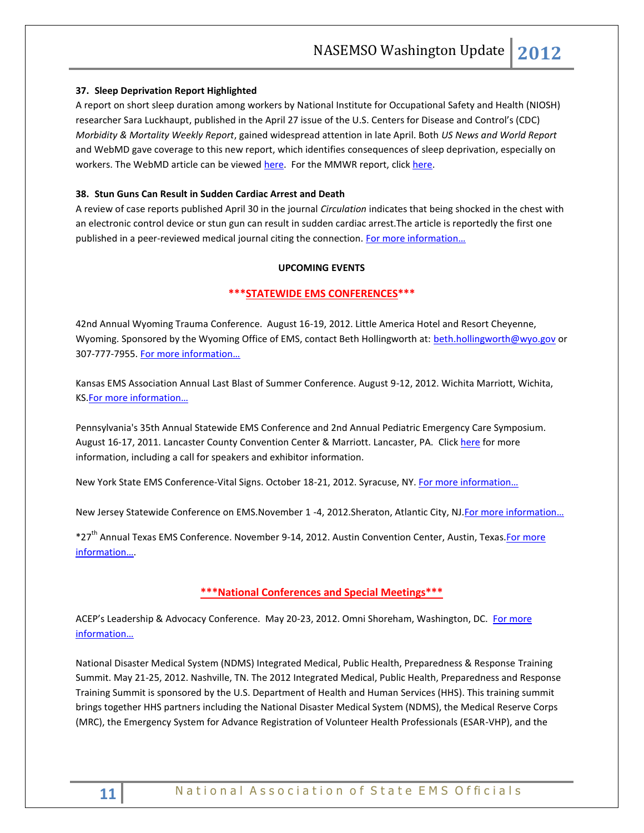## **37. Sleep Deprivation Report Highlighted**

A report on short sleep duration among workers by National Institute for Occupational Safety and Health (NIOSH) researcher Sara Luckhaupt, published in the April 27 issue of the U.S. Centers for Disease and Control's (CDC) *Morbidity & Mortality Weekly Report*, gained widespread attention in late April. Both *US News and World Report* and WebMD gave coverage to this new report, which identifies consequences of sleep deprivation, especially on workers. The WebMD article can be viewed [here.](http://www.webmd.com/sleep-disorders/news/20120426/30-percent-workers-get-far-too-little-sleep) For the MMWR report, clic[k here.](http://www.cdc.gov/mmwr/preview/mmwrhtml/mm6116a2.htm?s_cid=mm6116a2_w)

## <span id="page-10-0"></span>**38. Stun Guns Can Result in Sudden Cardiac Arrest and Death**

A review of case reports published April 30 in the journal *Circulation* indicates that being shocked in the chest with an electronic control device or stun gun can result in sudden cardiac arrest.The article is reportedly the first one published in a peer-reviewed medical journal citing the connection. [For more information…](http://communications.medicine.iu.edu/newsroom/stories/2012/indiana-university-cardiologist-reports-stun-guns-can-result-in-/)

## **UPCOMING EVENTS**

# <span id="page-10-1"></span>**\*\*\*STATEWIDE EMS CONFERENCES\*\*\***

42nd Annual Wyoming Trauma Conference. August 16-19, 2012. Little America Hotel and Resort Cheyenne, Wyoming. Sponsored by the Wyoming Office of EMS, contact Beth Hollingworth at: [beth.hollingworth@wyo.gov](mailto:beth.hollingworth@wyo.gov) or 307-777-7955. [For more information…](http://health.wyo.gov/sho/ems/conferences.html)

Kansas EMS Association Annual Last Blast of Summer Conference. August 9-12, 2012. Wichita Marriott, Wichita, KS[.For more informati](http://www.kemsa.org/LBOS.html)on…

Pennsylvania's 35th Annual Statewide EMS Conference and 2nd Annual Pediatric Emergency Care Symposium. August 16-17, 2011. Lancaster County Convention Center & Marriott. Lancaster, PA. Click [here](http://www.cvent.com/events/35th-annual-pennsylvania-statewide-ems-conference/event-summary-dd4555c433834f8aada4af9332575af6.aspx) for more information, including a call for speakers and exhibitor information.

New York State EMS Conference-Vital Signs. October 18-21, 2012. Syracuse, NY. [For more information…](http://www.vitalsignsconference.com/)

New Jersey Statewide Conference on EMS.November 1 -4, 2012.Sheraton, Atlantic City, NJ.For more information...

\*27<sup>th</sup> Annual Texas EMS Conference. November 9-14, 2012. Austin Convention Center, Austin, Texas. For more [information…](http://www.texasemsconference.com/).

## **\*\*\*National Conferences and Special Meetings\*\*\***

<span id="page-10-2"></span>ACEP's Leadership & Advocacy Conference. May 20-23, 2012. Omni Shoreham, Washington, DC. For more [information…](http://www.acep.org/LACHome.aspx?MeetingId=LAC)

National Disaster Medical System (NDMS) Integrated Medical, Public Health, Preparedness & Response Training Summit. May 21-25, 2012. Nashville, TN. The 2012 Integrated Medical, Public Health, Preparedness and Response Training Summit is sponsored by the U.S. Department of Health and Human Services (HHS). This training summit brings together HHS partners including the National Disaster Medical System (NDMS), the Medical Reserve Corps (MRC), the Emergency System for Advance Registration of Volunteer Health Professionals (ESAR-VHP), and the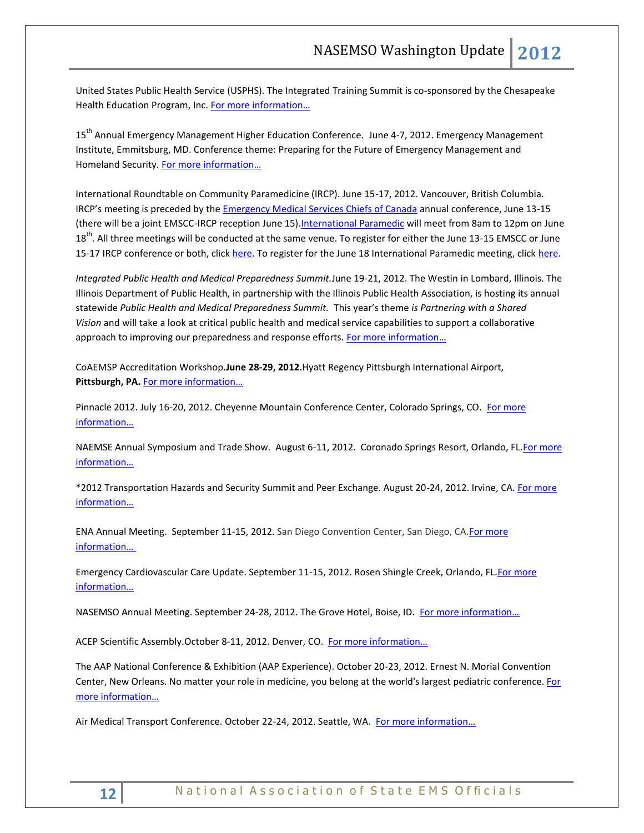United States Public Health Service (USPHS). The Integrated Training Summit is co-sponsored by the Chesapeake Health Education Program, Inc. [For more information…](http://teams.hhs.gov/conference/)

15<sup>th</sup> Annual Emergency Management Higher Education Conference. June 4-7, 2012. Emergency Management Institute, Emmitsburg, MD. Conference theme: Preparing for the Future of Emergency Management and Homeland Security. [For more information…](http://training.fema.gov/EMIWeb/edu/educonference12.asp)

International Roundtable on Community Paramedicine (IRCP). June 15-17, 2012. Vancouver, British Columbia. IRCP's meeting is preceded by the [Emergency Medical Services Chiefs of Canada](http://www.emscc.ca/) annual conference, June 13-15 (there will be a joint EMSCC-IRCP reception June 15). International Paramedic will meet from 8am to 12pm on June 18<sup>th</sup>. All three meetings will be conducted at the same venue. To register for either the June 13-15 EMSCC or June 15-17 IRCP conference or both, click [here.](http://www.internationalparamedic.org/) To register for the June 18 International Paramedic meeting, click here.

*Integrated Public Health and Medical Preparedness Summit.*June 19-21, 2012. The Westin in Lombard, Illinois. The Illinois Department of Public Health, in partnership with the Illinois Public Health Association, is hosting its annual statewide *Public Health and Medical Preparedness Summit.* This year's theme *is Partnering with a Shared Vision* and will take a look at critical public health and medical service capabilities to support a collaborative approach to improving our preparedness and response efforts. For more information...

CoAEMSP Accreditation Workshop.**June 28-29, 2012.**Hyatt Regency Pittsburgh International Airport, Pittsburgh, PA. For more information...

Pinnacle 2012. July 16-20, 2012. Cheyenne Mountain Conference Center, Colorado Springs, CO. [For more](http://www.pinnacle-ems.com/)  [information…](http://www.pinnacle-ems.com/)

NAEMSE Annual Symposium and Trade Show. August 6-11, 2012. Coronado Springs Resort, Orlando, FL. For more [information…](http://www.naemse.org/symposium)

\*2012 Transportation Hazards and Security Summit and Peer Exchange. August 20-24, 2012. Irvine, CA. [For more](http://www.trb.org/Calendar/Blurbs/166997.aspx)  [information…](http://www.trb.org/Calendar/Blurbs/166997.aspx)

ENA Annual Meeting. September 11-15, 2012. San Diego Convention Center, San Diego, CA.For more [information…](http://www.ena.org/coursesandeducation/conferences/Pages/Default.aspx)

Emergency Cardiovascular Care Update. September 11-15, 2012. Rosen Shingle Creek, Orlando, FL. For more [information…](http://www.eccu2012.com/)

NASEMSO Annual Meeting. September 24-28, 2012. The Grove Hotel, Boise, ID. For more information...

ACEP Scientific Assembly. October 8-11, 2012. Denver, CO. For more information...

The AAP National Conference & Exhibition (AAP Experience). October 20-23, 2012. Ernest N. Morial Convention Center, New Orleans. No matter your role in medicine, you belong at the world's largest pediatric conference. For [more information…](http://www.aapexperience.org/)

Air Medical Transport Conference. October 22-24, 2012. Seattle, WA. [For more information…](http://www.aams.org/AAMS/Education___Meetings/AMTC_2012/aams/EducationMeetings/AMTC_2012/AMTC_2012_Overview.aspx)